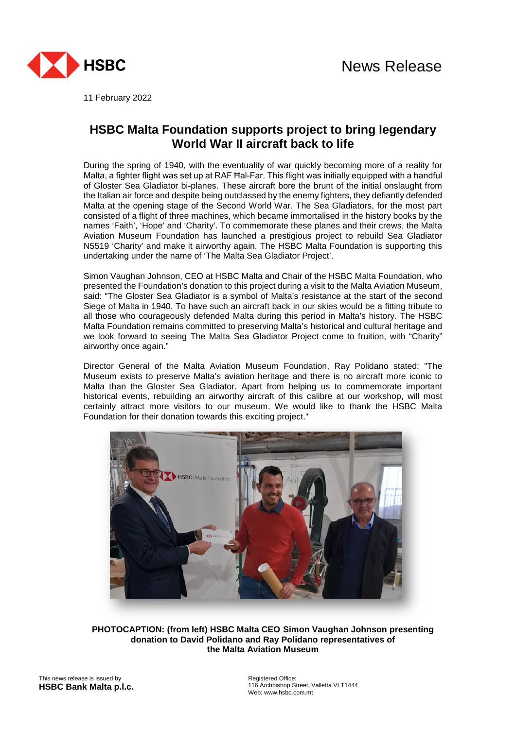

11 February 2022

## **HSBC Malta Foundation supports project to bring legendary World War II aircraft back to life**

During the spring of 1940, with the eventuality of war quickly becoming more of a reality for Malta, a fighter flight was set up at RAF Ħal-Far. This flight was initially equipped with a handful of Gloster Sea Gladiator bi-planes. These aircraft bore the brunt of the initial onslaught from the Italian air force and despite being outclassed by the enemy fighters, they defiantly defended Malta at the opening stage of the Second World War. The Sea Gladiators, for the most part consisted of a flight of three machines, which became immortalised in the history books by the names 'Faith', 'Hope' and 'Charity'. To commemorate these planes and their crews, the Malta Aviation Museum Foundation has launched a prestigious project to rebuild Sea Gladiator N5519 'Charity' and make it airworthy again. The HSBC Malta Foundation is supporting this undertaking under the name of 'The Malta Sea Gladiator Project'.

Simon Vaughan Johnson, CEO at HSBC Malta and Chair of the HSBC Malta Foundation, who presented the Foundation's donation to this project during a visit to the Malta Aviation Museum, said: "The Gloster Sea Gladiator is a symbol of Malta's resistance at the start of the second Siege of Malta in 1940. To have such an aircraft back in our skies would be a fitting tribute to all those who courageously defended Malta during this period in Malta's history. The HSBC Malta Foundation remains committed to preserving Malta's historical and cultural heritage and we look forward to seeing The Malta Sea Gladiator Project come to fruition, with "Charity" airworthy once again."

Director General of the Malta Aviation Museum Foundation, Ray Polidano stated: "The Museum exists to preserve Malta's aviation heritage and there is no aircraft more iconic to Malta than the Gloster Sea Gladiator. Apart from helping us to commemorate important historical events, rebuilding an airworthy aircraft of this calibre at our workshop, will most certainly attract more visitors to our museum. We would like to thank the HSBC Malta Foundation for their donation towards this exciting project."



**PHOTOCAPTION: (from left) HSBC Malta CEO Simon Vaughan Johnson presenting donation to David Polidano and Ray Polidano representatives of the Malta Aviation Museum**

This news release is issued by **HSBC Bank Malta p.l.c.** Registered Office: 116 Archbishop Street, Valletta VLT1444 Web: www.hsbc.com.mt